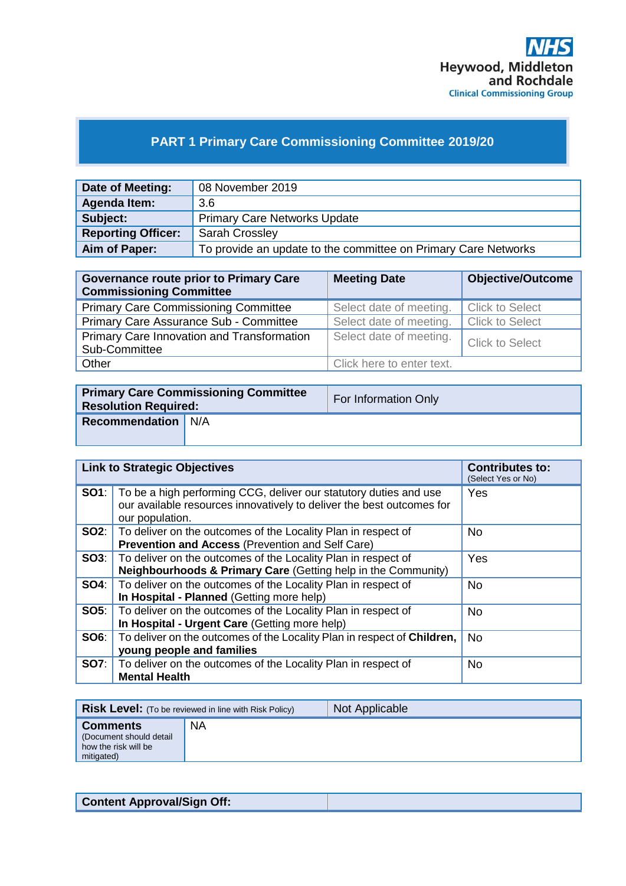

# **PART 1 Primary Care Commissioning Committee 2019/20**

| Date of Meeting:          | 08 November 2019                                               |
|---------------------------|----------------------------------------------------------------|
| Agenda Item:              | 3.6                                                            |
| Subject:                  | <b>Primary Care Networks Update</b>                            |
| <b>Reporting Officer:</b> | <b>Sarah Crossley</b>                                          |
| Aim of Paper:             | To provide an update to the committee on Primary Care Networks |

| <b>Governance route prior to Primary Care</b><br><b>Commissioning Committee</b> | <b>Meeting Date</b>       | <b>Objective/Outcome</b> |
|---------------------------------------------------------------------------------|---------------------------|--------------------------|
| <b>Primary Care Commissioning Committee</b>                                     | Select date of meeting.   | <b>Click to Select</b>   |
| Primary Care Assurance Sub - Committee                                          | Select date of meeting.   | <b>Click to Select</b>   |
| Primary Care Innovation and Transformation<br>Sub-Committee                     | Select date of meeting.   | <b>Click to Select</b>   |
| Other                                                                           | Click here to enter text. |                          |

| <b>Primary Care Commissioning Committee</b><br><b>Resolution Required:</b> |  | For Information Only |
|----------------------------------------------------------------------------|--|----------------------|
| <b>Recommendation</b> N/A                                                  |  |                      |

| <b>Link to Strategic Objectives</b> |                                                                                                                                                                            | <b>Contributes to:</b><br>(Select Yes or No) |
|-------------------------------------|----------------------------------------------------------------------------------------------------------------------------------------------------------------------------|----------------------------------------------|
|                                     | <b>SO1</b> : To be a high performing CCG, deliver our statutory duties and use<br>our available resources innovatively to deliver the best outcomes for<br>our population. | Yes                                          |
|                                     | <b>SO2:</b>   To deliver on the outcomes of the Locality Plan in respect of<br><b>Prevention and Access (Prevention and Self Care)</b>                                     | No.                                          |
|                                     | <b>SO3:</b>   To deliver on the outcomes of the Locality Plan in respect of<br>Neighbourhoods & Primary Care (Getting help in the Community)                               | Yes                                          |
| SO4:                                | To deliver on the outcomes of the Locality Plan in respect of<br>In Hospital - Planned (Getting more help)                                                                 | No.                                          |
|                                     | <b>SO5:</b> To deliver on the outcomes of the Locality Plan in respect of<br>In Hospital - Urgent Care (Getting more help)                                                 | No.                                          |
| <b>SO6:</b>                         | To deliver on the outcomes of the Locality Plan in respect of <b>Children</b> ,<br>young people and families                                                               | <b>No</b>                                    |
|                                     | <b>SO7:</b> To deliver on the outcomes of the Locality Plan in respect of<br><b>Mental Health</b>                                                                          | <b>No</b>                                    |

|                                                                                  | <b>Risk Level:</b> (To be reviewed in line with Risk Policy) | Not Applicable |
|----------------------------------------------------------------------------------|--------------------------------------------------------------|----------------|
| <b>Comments</b><br>(Document should detail<br>how the risk will be<br>mitigated) | <b>NA</b>                                                    |                |

**Content Approval/Sign Off:**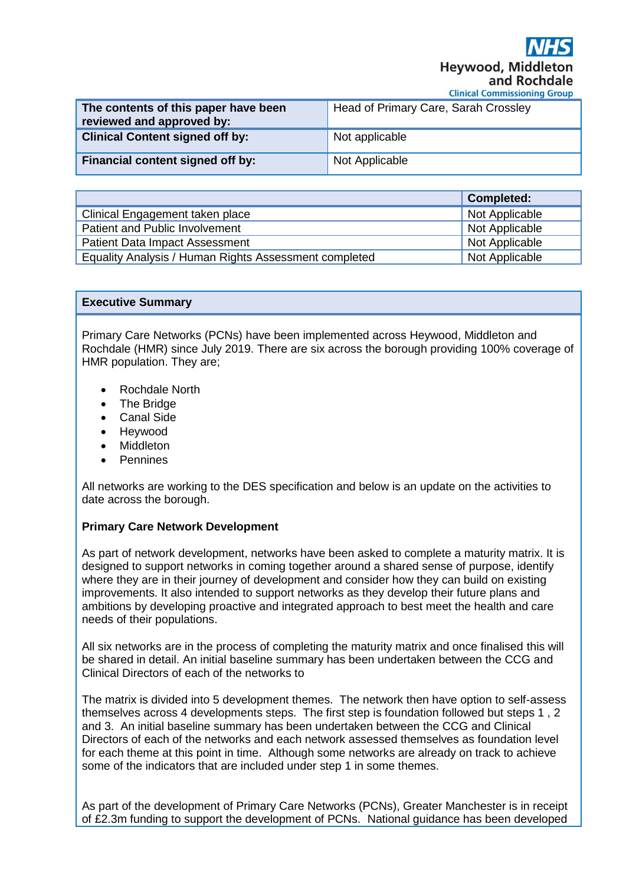Hevwood, Midd and Rochdale

**Clinical Commissioning Group** 

| The contents of this paper have been<br>reviewed and approved by: | Head of Primary Care, Sarah Crossley |
|-------------------------------------------------------------------|--------------------------------------|
| <b>Clinical Content signed off by:</b>                            | Not applicable                       |
| Financial content signed off by:                                  | Not Applicable                       |

|                                                       | <b>Completed:</b> |
|-------------------------------------------------------|-------------------|
| Clinical Engagement taken place                       | Not Applicable    |
| Patient and Public Involvement                        | Not Applicable    |
| <b>Patient Data Impact Assessment</b>                 | Not Applicable    |
| Equality Analysis / Human Rights Assessment completed | Not Applicable    |

#### **Executive Summary**

Primary Care Networks (PCNs) have been implemented across Heywood, Middleton and Rochdale (HMR) since July 2019. There are six across the borough providing 100% coverage of HMR population. They are;

- Rochdale North
- **The Bridge**
- Canal Side
- Heywood
- Middleton
- **Pennines**

All networks are working to the DES specification and below is an update on the activities to date across the borough.

#### **Primary Care Network Development**

As part of network development, networks have been asked to complete a maturity matrix. It is designed to support networks in coming together around a shared sense of purpose, identify where they are in their journey of development and consider how they can build on existing improvements. It also intended to support networks as they develop their future plans and ambitions by developing proactive and integrated approach to best meet the health and care needs of their populations.

All six networks are in the process of completing the maturity matrix and once finalised this will be shared in detail. An initial baseline summary has been undertaken between the CCG and Clinical Directors of each of the networks to

The matrix is divided into 5 development themes. The network then have option to self-assess themselves across 4 developments steps. The first step is foundation followed but steps 1 , 2 and 3. An initial baseline summary has been undertaken between the CCG and Clinical Directors of each of the networks and each network assessed themselves as foundation level for each theme at this point in time. Although some networks are already on track to achieve some of the indicators that are included under step 1 in some themes.

As part of the development of Primary Care Networks (PCNs), Greater Manchester is in receipt of £2.3m funding to support the development of PCNs. National guidance has been developed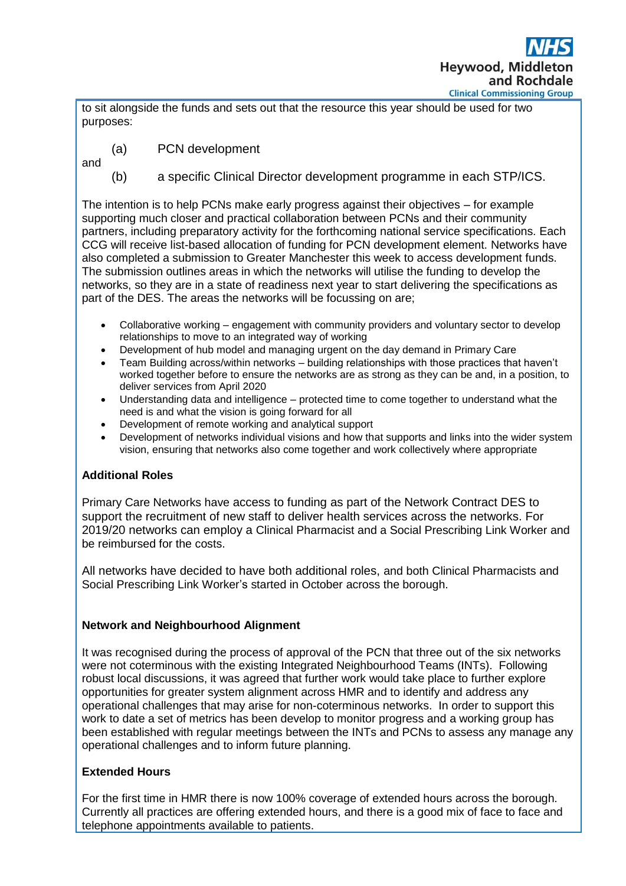

to sit alongside the funds and sets out that the resource this year should be used for two purposes:

- (a) PCN development
- and
- (b) a specific Clinical Director development programme in each STP/ICS.

The intention is to help PCNs make early progress against their objectives – for example supporting much closer and practical collaboration between PCNs and their community partners, including preparatory activity for the forthcoming national service specifications. Each CCG will receive list-based allocation of funding for PCN development element. Networks have also completed a submission to Greater Manchester this week to access development funds. The submission outlines areas in which the networks will utilise the funding to develop the networks, so they are in a state of readiness next year to start delivering the specifications as part of the DES. The areas the networks will be focussing on are;

- Collaborative working engagement with community providers and voluntary sector to develop relationships to move to an integrated way of working
- Development of hub model and managing urgent on the day demand in Primary Care
- Team Building across/within networks building relationships with those practices that haven't worked together before to ensure the networks are as strong as they can be and, in a position, to deliver services from April 2020
- Understanding data and intelligence protected time to come together to understand what the need is and what the vision is going forward for all
- Development of remote working and analytical support
- Development of networks individual visions and how that supports and links into the wider system vision, ensuring that networks also come together and work collectively where appropriate

# **Additional Roles**

Primary Care Networks have access to funding as part of the Network Contract DES to support the recruitment of new staff to deliver health services across the networks. For 2019/20 networks can employ a Clinical Pharmacist and a Social Prescribing Link Worker and be reimbursed for the costs.

All networks have decided to have both additional roles, and both Clinical Pharmacists and Social Prescribing Link Worker's started in October across the borough.

## **Network and Neighbourhood Alignment**

It was recognised during the process of approval of the PCN that three out of the six networks were not coterminous with the existing Integrated Neighbourhood Teams (INTs). Following robust local discussions, it was agreed that further work would take place to further explore opportunities for greater system alignment across HMR and to identify and address any operational challenges that may arise for non-coterminous networks. In order to support this work to date a set of metrics has been develop to monitor progress and a working group has been established with regular meetings between the INTs and PCNs to assess any manage any operational challenges and to inform future planning.

## **Extended Hours**

For the first time in HMR there is now 100% coverage of extended hours across the borough. Currently all practices are offering extended hours, and there is a good mix of face to face and telephone appointments available to patients.